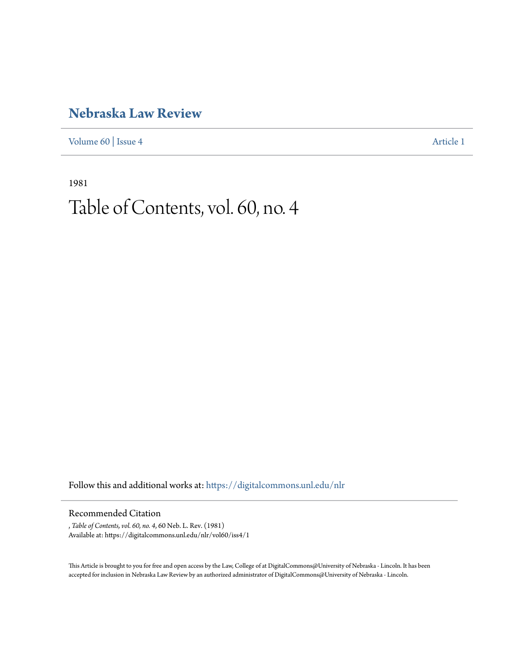## **[Nebraska Law Review](https://digitalcommons.unl.edu/nlr?utm_source=digitalcommons.unl.edu%2Fnlr%2Fvol60%2Fiss4%2F1&utm_medium=PDF&utm_campaign=PDFCoverPages)**

[Volume 60](https://digitalcommons.unl.edu/nlr/vol60?utm_source=digitalcommons.unl.edu%2Fnlr%2Fvol60%2Fiss4%2F1&utm_medium=PDF&utm_campaign=PDFCoverPages) | [Issue 4](https://digitalcommons.unl.edu/nlr/vol60/iss4?utm_source=digitalcommons.unl.edu%2Fnlr%2Fvol60%2Fiss4%2F1&utm_medium=PDF&utm_campaign=PDFCoverPages) [Article 1](https://digitalcommons.unl.edu/nlr/vol60/iss4/1?utm_source=digitalcommons.unl.edu%2Fnlr%2Fvol60%2Fiss4%2F1&utm_medium=PDF&utm_campaign=PDFCoverPages)

1981

## Table of Contents, vol. 60, no. 4

Follow this and additional works at: [https://digitalcommons.unl.edu/nlr](https://digitalcommons.unl.edu/nlr?utm_source=digitalcommons.unl.edu%2Fnlr%2Fvol60%2Fiss4%2F1&utm_medium=PDF&utm_campaign=PDFCoverPages)

## Recommended Citation

, *Table of Contents, vol. 60, no. 4*, 60 Neb. L. Rev. (1981) Available at: https://digitalcommons.unl.edu/nlr/vol60/iss4/1

This Article is brought to you for free and open access by the Law, College of at DigitalCommons@University of Nebraska - Lincoln. It has been accepted for inclusion in Nebraska Law Review by an authorized administrator of DigitalCommons@University of Nebraska - Lincoln.